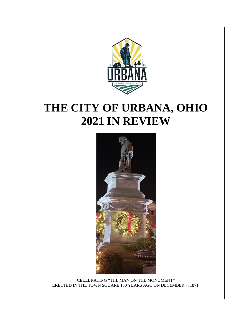

# **THE CITY OF URBANA, OHIO 2021 IN REVIEW**



CELEBRATING "THE MAN ON THE MONUMENT" ERECTED IN THE TOWN SQUARE 150 YEARS AGO ON DECEMBER 7, 1871.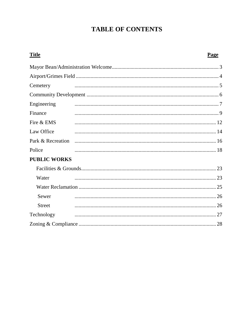## **TABLE OF CONTENTS**

| <b>Title</b>        | Page |
|---------------------|------|
|                     |      |
|                     |      |
| Cemetery            |      |
|                     |      |
| Engineering         |      |
| Finance             |      |
| Fire & EMS          |      |
| Law Office          |      |
|                     |      |
| Police              |      |
| <b>PUBLIC WORKS</b> |      |
|                     |      |
| Water               |      |
|                     |      |
| Sewer               |      |
| <b>Street</b>       |      |
| Technology          |      |
|                     | 28   |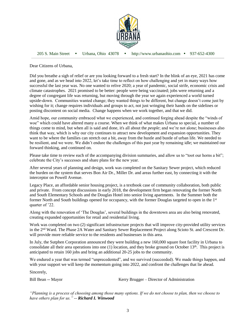

205 S. Main Street Urbana, Ohio 43078 http://www.urbanaohio.com 937-652-4300

Dear Citizens of Urbana,

Did you breathe a sigh of relief or are you looking forward to a fresh start? In the blink of an eye, 2021 has come and gone, and as we head into 2022, let's take time to reflect on how challenging and yet in many ways how successful the last year was. No one wanted to relive 2020; a year of pandemic, social strife, economic crisis and climate catastrophes. 2021 promised to be better: people were being vaccinated; jobs were returning and a degree of congregant life was returning, but moving through the year we again experienced a world turned upside-down. Communities wanted change; they wanted things to be different, but change doesn't come just by wishing for it; change requires individuals and groups to act, not just wringing their hands on the sidelines or posting discontent on social media. Change happens when we work together, and that we did.

Amid hope, our community embraced what we experienced, and continued forging ahead despite the "winds of woe" which could have altered many a course. When we think of what makes Urbana so special, a number of things come to mind, but when all is said and done, it's all about the *people*; and we're not alone; businesses also think that way, which is why our city continues to attract new development and expansion opportunities. They want to be where the families can stretch out a bit, away from the hustle and bustle of urban life. We needed to be resilient, and we were. We didn't endure the challenges of this past year by remaining idle; we maintained our forward thinking, and continued on.

Please take time to review each of the accompanying division summaries, and allow us to "toot our horns a bit"; celebrate the City's successes and share plans for the new year.

After several years of planning and design, work was completed on the Sanitary Sewer project, which reduced the burden on the system that serves Bon Air Dr., Miller Dr. and areas further east, by connecting it with the interceptor on Powell Avenue.

Legacy Place, an affordable senior housing project, is a textbook case of community collaboration, both public and private. From concept discussions in early 2018, the development firm began renovating the former North and South Elementary Schools and the Douglas Hotel into senior living apartments. In the Summer both the former North and South buildings opened for occupancy, with the former Douglas targeted to open in the 1<sup>st</sup> quarter of '22.

Along with the renovation of 'The Douglas', several buildings in the downtown area are also being renovated, creating expanded opportunities for retail and residential living.

Work was completed on two (2) significant infrastructure projects that will improve city-provided utility services in the 2nd Ward. The Phase 2A Water and Sanitary Sewer Replacement Project along Scioto St. and Crescent Dr. will provide more reliable service to the residents and businesses in this area.

In July, the Sutphen Corporation announced they were building a new 160,000 square foot facility in Urbana to consolidate all their area operations into one (1) location, and they broke ground on October  $13<sup>th</sup>$ . This project is anticipated to retain 160 jobs and bring an additional 20-25 jobs to the community.

We endured a year that was termed "unprecedented", and we survived (succeeded). We made things happen, and with your support we will keep the momentum going into 2022, and confront the challenges that lie ahead.

Sincerely,

Bill Bean -- Mayor Kerry Brugger – Director of Administration

*"Planning is a process of choosing among those many options. If we do not choose to plan, then we choose to have others plan for us." -- Richard I. Winwood*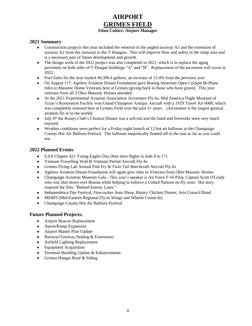### **AIRPORT GRIMES FIELD Elton Cultice: Airport Manager**

### **2021 Summary**

- Construction projects this year included the removal of the angled taxiway A5 and the extension of taxiway A2 from the runways to the T-Hangars. This will improve flow and safety in the ramp area and is a necessary part of future development and growth.
- The design work of the 2022 project was also completed in 2021, which is to replace the aging pavement on both sides of T-Hangar buildings "A" and "B". Replacement of the pavement will occur in 2022.
- Fuel Sales for the year totaled 40,390.4 gallons, an increase of 15.4% from the previous year.
- On August  $11<sup>th</sup>$ , Ageless Aviation Dream Foundation gave Boeing Stearman Open Cockpit Bi-Plane rides to Masonic Home Veterans here at Grimes (giving back to those who have given). This year veterans from all 3 Ohio Masonic Homes attended.
- At the 2021 Experimental Aviation Association Airventure Fly-In, Mid America Flight Museum of Texas's Restoration Facility won Grand Champion Antique Aircraft with a 1929 Travel Air 6000, which was completely restored here at Grimes Field over the past 3+ years. (Airventure is the largest general aviation fly-in in the world)
- July  $4<sup>th</sup>$  the Rotary Club's Chicken Dinner was a sell-out and the band and fireworks were very much enjoyed
- Weather conditions were perfect for a Friday night launch of 12 hot air balloons at the Champaign County Hot Air Balloon Festival. The balloons majestically floated off to the east as far as you could see.

### **2022 Planned Events**

- EAA Chapter 421 Young Eagles Day (free intro flights to kids 8 to 17)
- Vietnam Travelling Wall & Vietnam Period Aircraft Fly-In
- Grimes Flying Lab Annual Fish Fry & Twin Tail Beechcraft Aircraft Fly-In
- Ageless Aviation Dream Foundation will again give rides to Veterans from Ohio Masonic Homes
- Champaign Aviation Museum Gala This year's speaker is Air Force F-16 Pilot, Captain Scott O'Grady who was shot down over Bosnia while helping to enforce a United Nations no-fly zone. His story inspired the film, "Behind Enemy Lines."
- Independence Day Festival, Firecracker Auto Show, Rotary Chicken Dinner, Arts Council Band
- MERFI (Mid-Eastern Regional Fly-in Wings and Wheels Cruise-In)
- Champaign County Hot Air Balloon Festival

### **Future Planned Projects:**

- Airport Beacon Replacement
- Apron/Ramp Expansion
- Airport Master Plan Update
- Runway/Taxiway Sealing & Extensions
- Airfield Lighting Replacement
- Equipment Acquisition
- Terminal Building Update & Enhancements
- Grimes Hangar Roof & Siding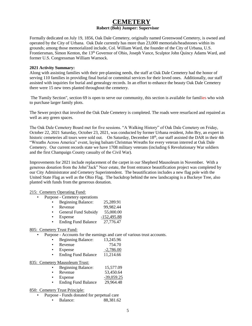### **CEMETERY Robert (Bob) Jumper: Supervisor**

Formally dedicated on July 19, 1856, Oak Dale Cemetery, originally named Greenwood Cemetery, is owned and operated by the City of Urbana. Oak Dale currently has more than 23,000 memorials/headstones within its grounds; among those memorialized include, Col. William Ward, the founder of the City of Urbana, U.S. Frontiersman, Simon Kenton, the 13th Governor of Ohio, Joseph Vance, Sculptor John Quincy Adams Ward, and former U.S. Congressman William Warnock.

#### **2021 Activity Summary:**

Along with assisting families with their pre-planning needs, the staff at Oak Dale Cemetery had the honor of serving 110 families in providing final burial or committal services for their loved ones. Additionally, our staff assisted with inquiries for burial and genealogy records. In an effort to enhance the beauty Oak Dale Cemetery there were 15 new trees planted throughout the cemetery.

The 'Family Section", section 69 is open to serve our community, this section is available for families who wish to purchase larger family plots.

The Sewer project that involved the Oak Dale Cemetery is completed. The roads were resurfaced and repaired as well as any green spaces.

The Oak Dale Cemetery Board met for five sessions. "A Walking History" of Oak Dale Cemetery on Friday, October 22, 2021 Saturday, October 23, 2021, was conducted by former Urbana resident, John Bry, an expert in historic cemeteries all tours were sold out. On Saturday, December 18th, our staff assisted the DAR in their 4th "Wreaths Across America" event, laying balsam Christmas Wreaths for every veteran interred at Oak Dale Cemetery. Our current records state we have 1708 military veterans (including 6 Revolutionary War soldiers and the first Champaign County casualty of the Civil War).

Improvements for 2021 include replacement of the carpet in our Shepherd Mausoleum in November. With a generous donation from the John"Jack" Neer estate, the front entrance beautification project was completed by our City Administrator and Cemetery Superintendent. The beautification includes a new flag pole with the United State Flag as well as the Ohio Flag. The backdrop behind the new landscaping is a Buckeye Tree, also planted with funds from the generous donation.

#### 215: Cemetery Operating Fund:

- Purpose Cemetery operations
	- Beginning Balance: 25,289.91
	- Revenue 99,982.44
	- General Fund Subsidy 55,000.00
	- Expense -152,495.88
	- Ending Fund Balance 27,776.47

#### 805: Cemetery Trust Fund:

- Purpose Accounts for the earnings and care of various trust accounts.
	- Beginning Balance: 13,245.96

| Revenue |  | 754.70 |
|---------|--|--------|
|---------|--|--------|

- Expense  $-2,786.00$
- Ending Fund Balance 11,214.66

### 835: Cemetery Mausoleum Trust:

|  | <b>Beginning Balance:</b> | 15,577.09 |
|--|---------------------------|-----------|
|--|---------------------------|-----------|

- Revenue 53,450.64
- Expense -39,059.25
- Ending Fund Balance 29,964.48

#### 850: Cemetery Trust Principle:

- Purpose Funds donated for perpetual care
	- Balance: 88,381.62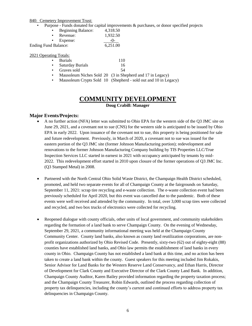#### 840:Cemetery Improvement Trust:

• Purpose - Funds donated for capital improvements & purchases, or donor specified projects

| <b>Beginning Balance:</b> | 4,318.50 |  |
|---------------------------|----------|--|
| Revenue:                  | 1,932.50 |  |

|                             | <i>iw</i> vilue. | 1, <i>,,,,</i> ,, |
|-----------------------------|------------------|-------------------|
|                             | Expense:         |                   |
| <b>Ending Fund Balance:</b> |                  | 6,251.00          |

### 2021 Operating Totals:

| $\bullet$ | Burials                                                                                                                                                                                                                                                                                                                            | 110 |
|-----------|------------------------------------------------------------------------------------------------------------------------------------------------------------------------------------------------------------------------------------------------------------------------------------------------------------------------------------|-----|
| $\bullet$ | <b>Saturday Burials</b>                                                                                                                                                                                                                                                                                                            | 16  |
|           | Graves sold                                                                                                                                                                                                                                                                                                                        | 54  |
|           | $\mathbf{1}$ $\mathbf{N}$ $\mathbf{1}$ $\mathbf{N}$ $\mathbf{1}$ $\mathbf{N}$ $\mathbf{N}$ $\mathbf{N}$ $\mathbf{N}$ $\mathbf{N}$ $\mathbf{N}$ $\mathbf{N}$ $\mathbf{N}$ $\mathbf{N}$ $\mathbf{N}$ $\mathbf{N}$ $\mathbf{N}$ $\mathbf{N}$ $\mathbf{N}$ $\mathbf{N}$ $\mathbf{N}$ $\mathbf{N}$ $\mathbf{N}$ $\mathbf{N}$ $\mathbf{$ |     |

- Mausoleum Niches Sold 20 (3 in Shepherd and 17 in Legacy)
- Mausoleum Crypts Sold 10 (Shepherd sold out and 10 in Legacy)

### **COMMUNITY DEVELOPMENT**

**Doug Crabill: Manager**

### **Major Events/Projects:**

- A no further action (NFA) letter was submitted to Ohio EPA for the western side of the Q3 JMC site on June 29, 2021, and a covenant not to sue (CNS) for the western side is anticipated to be issued by Ohio EPA in early 2022. Upon issuance of the covenant not to sue, this property is being positioned for sale and future redevelopment. Previously, in March of 2020, a covenant not to sue was issued for the eastern portion of the Q3 JMC site (former Johnson Manufacturing portion); redevelopment and renovations to the former Johnson Manufacturing Company building by TIS Properties LLC/True Inspection Services LLC started in earnest in 2021 with occupancy anticipated by tenants by mid-2022. This redevelopment effort started in 2010 upon closure of the former operations of Q3 JMC Inc. (Q3 Stamped Metal) in 2008.
- Partnered with the North Central Ohio Solid Waste District, the Champaign Health District scheduled, promoted, and held two separate events for all of Champaign County at the fairgrounds on Saturday, September 11, 2021: scrap tire recycling and e-waste collection. The e-waste collection event had been previously scheduled for April 2020, but this event was cancelled due to the pandemic. Both of these events were well received and attended by the community. In total, over 3,000 scrap tires were collected and recycled, and two box trucks of electronics were collected for recycling.
- Reopened dialogue with county officials, other units of local government, and community stakeholders regarding the formation of a land bank to serve Champaign County. On the evening of Wednesday, September 29, 2021, a community informational meeting was held at the Champaign County Community Center. County land banks, also known as county land reutilization corporations, are nonprofit organizations authorized by Ohio Revised Code. Presently, sixty-two (62) out of eighty-eight (88) counties have established land banks, and Ohio law permits the establishment of land banks in every county in Ohio. Champaign County has not established a land bank at this time, and no action has been taken to create a land bank within the county. Guest speakers for this meeting included Jim Rokakis, Senior Advisor for Land Banks for the Western Reserve Land Conservancy, and Ethan Harris, Director of Development for Clark County and Executive Director of the Clark County Land Bank. In addition, Champaign County Auditor, Karen Bailey provided information regarding the property taxation process; and the Champaign County Treasurer, Robin Edwards, outlined the process regarding collection of property tax delinquencies, including the county's current and continued efforts to address property tax delinquencies in Champaign County.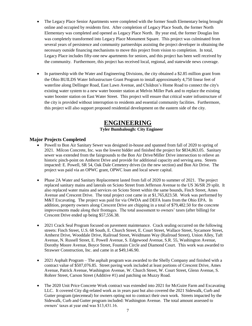- The Legacy Place Senior Apartments were completed with the former South Elementary being brought online and occupied by residents first. After completion of Legacy Place South, the former North Elementary was completed and opened as Legacy Place North. By year end, the former Douglas Inn was completely transformed into Legacy Place Monument Square. This project was culminated from several years of persistence and community partnerships assisting the project developer in obtaining the necessary outside financing mechanisms to move this project from vision to completion. In total, Legacy Place includes fifty-one new apartments for seniors, and this project has been well received by the community. Furthermore, this project has received local, regional, and statewide news coverage.
- In partnership with the Water and Engineering Divisions, the city obtained a \$2.85 million grant from the Ohio BUILDS Water Infrastructure Grant Program to install approximately 4,750 linear feet of waterline along Dellinger Road, East Lawn Avenue, and Children's Home Road to connect the city's existing water system to a new water booster station at Melvin Miller Park and to replace the existing water booster station on East Water Street. This project will ensure that critical water infrastructure of the city is provided without interruption to residents and essential community facilities. Furthermore, this project will also support proposed residential development on the eastern side of the city.

### **ENGINEERING**

### **Tyler Bumbalough: City Engineer**

### **Major Projects Completed**

- Powell to Bon Air Sanitary Sewer was designed in-house and spanned from fall of 2020 to spring of 2021. Milcon Concrete, Inc. was the lowest bidder and finished the project for \$834,863.05. Sanitary sewer was extended from the fairgrounds to the Bon Air Drive/Miller Drive intersection to relieve an historic pinch-point on Amherst Drive and provide for additional capacity and serving area. Streets impacted: E. Powell, SR 54, Oak Dale Cemetery drives (in the new section) and Bon Air Drive. The project was paid via an OPWC grant, OPWC loan and local sewer capital.
- Phase 2A Water and Sanitary Replacement lasted from fall of 2020 to summer of 2021. The project replaced sanitary mains and laterals on Scioto Street from Jefferson Avenue to the US 36/SR 29 split. It also replaced water mains and services on Scioto Street within the same bounds, Finch Street, Ames Avenue and Crescent Drive. The total project cost came in at \$1,765,823.58. Work was performed by M&T Excavating. The project was paid for via OWDA and DEFA loans from the Ohio EPA. In addition, property owners along Crescent Drive are chipping in a total of \$79,482.50 for the concrete improvements made along their frontages. The total assessment to owners' taxes (after billing) for Crescent Drive ended up being \$57,556.38.
- 2021 Crack Seal Program focused on pavement maintenance. Crack sealing occurred on the following streets: Finch Street, U.S. 68 South, E. Church Street, E. Court Street, Wallace Street, Sycamore Street, Amherst Drive, Wooddale Drive, Railroad Street, Weidmann Way (Railroad Street), Union Alley, Taft Avenue, N. Russell Street, E. Powell Avenue, S. Edgewood Avenue, S.R. 55, Washington Avenue, Dorothy Moore Avenue, Boyce Street, Fountain Circle and Diamond Court. This work was awarded to Strawser Construction, Inc. and came in at \$49,146.90.
- 2021 Asphalt Program The asphalt program was awarded to the Shelly Company and finished with a contract value of \$507,076.85. Street paving work included at least portions of Crescent Drive, Ames Avenue, Patrick Avenue, Washington Avenue, W. Church Street, W. Court Street, Glenn Avenue, S. Rohrer Street, Carson Street (Additive #1) and patching on Muzzy Road.
- The 2020 Unit Price Concrete Work contract was extended into 2021 for McGuire Farm and Excavating LLC. It covered City dig-related work as in years past but also covered the 2021 Sidewalk, Curb and Gutter program (piecemeal) for owners opting not to contract their own work. Streets impacted by the Sidewalk, Curb and Gutter program included: Washington Avenue. The total amount assessed to owners' taxes at year end was \$13,431.16.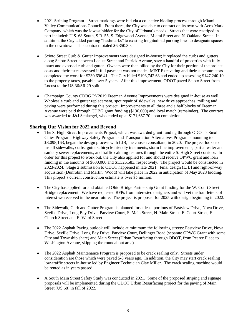- 2021 Striping Program Street markings were bid via a collective bidding process through Miami Valley Communications Council. From there, the City was able to contract on its own with Aero-Mark Company, which was the lowest bidder for the City of Urbana's needs. Streets that were restriped in part included: U.S. 68 South, S.R. 55, S. Edgewood Avenue, Miami Street and N. Oakland Street. In addition, the City added parking "hashmarks" to existing longitudinal parking lines to designate spaces in the downtown. This contract totaled \$6,350.30.
- Scioto Street Curb & Gutter Improvements were designed in-house; it replaced the curbs and gutters along Scioto Street between Locust Street and Patrick Avenue, save a handful of properties with fully intact and exposed curb and gutter. Owners were then billed by the City for their portion of the project costs and their taxes assessed if full payment was not made. M&T Excavating and their subcontractors completed the work for \$230,696.41. The City billed \$193,742.63 and ended up assessing \$147,240.10 to the property taxes, payable over 5 years. After this improvement, ODOT paved Scioto Street from Locust to the US 36/SR 29 split.
- Champaign County CDBG PY2019 Freeman Avenue Improvements were designed in-house as well. Wholesale curb and gutter replacement, spot repair of sidewalks, new drive approaches, milling and paving were performed during this project. Improvements to all three and a half blocks of Freeman Avenue were paid through CDBG grant funding (\$136,000) and local match (remainder). The contract was awarded to J&J Schlaegel, who ended up at \$171,657.70 upon completion.

### **Sharing Our Vision for 2022 and Beyond**

- The S. High Street Improvements Project, which was awarded grant funding through ODOT's Small Cities Program, Highway Safety Program and Transportation Alternatives Program amounting to \$3,098,163, began the design process with LJB, the chosen consultant, in 2020. The project looks to install sidewalks, curbs, gutters, bicycle friendly treatments, storm line improvements, partial water and sanitary sewer replacements, and traffic calming features through the entire S. High Street corridor. In order for this project to work out, the City also applied for and should receive OPWC grant and loan funding in the amounts of \$600,000 and \$1,326,583, respectively. The project would be constructed in 2023-2024. Stage 2 submission to ODOT happened in late 2021. Final design (LJB) and right-of-way acquisition (Dunrobin and Martin+Wood) will take place in 2022 in anticipation of May 2023 bidding. This project's current construction estimate is over \$5 million.
- The City has applied for and obtained Ohio Bridge Partnership Grant funding for the W. Court Street Bridge replacement. We have requested RFPs from interested designers and will vet the four letters of interest we received in the near future. The project is proposed for 2025 with design beginning in 2022.
- The Sidewalk, Curb and Gutter Program is planned for at least portions of Eastview Drive, Nova Drive, Seville Drive, Long Bay Drive, Parview Court, S. Main Street, N. Main Street, E. Court Street, E. Church Street and E. Ward Street.
- The 2022 Asphalt Paving outlook will include at minimum the following streets: Eastview Drive, Nova Drive, Seville Drive, Long Bay Drive, Parview Court, Dellinger Road (separate OPWC Grant with some City and Township share) and Main Street (Urban Resurfacing through ODOT, from Pearce Place to Washington Avenue, skipping the roundabout area).
- The 2022 Asphalt Maintenance Program is proposed to be crack sealing only. Streets under consideration are those which were paved 5-8 years ago. In addition, the City may start crack sealing low-traffic streets in-house led by Engineer Technician Clay Miller. The crack sealing machine would be rented as in years passed.
- A South Main Street Safety Study was conducted in 2021. Some of the proposed striping and signage proposals will be implemented during the ODOT Urban Resurfacing project for the paving of Main Street (US 68) in fall of 2022.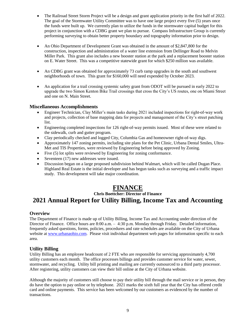- The Railroad Street Storm Project will be a design and grant application priority in the first half of 2022. The goal of the Stormwater Utility Committee was to have one large project every five (5) years once the funds were built up. We currently plan to utilize the funds in the stormwater capital budget for this project in conjunction with a CDBG grant we plan to pursue. Compass Infrastructure Group is currently performing surveying to obtain better property boundary and topography information prior to design.
- An Ohio Department of Development Grant was obtained in the amount of \$2,847,800 for the construction, inspection and administration of a water line extension from Dellinger Road to Melvin Miller Park. This grant also includes a new booster station at the park and a replacement booster station on E. Water Street. This was a competitive statewide grant for which \$250 million was available.
- An CDBG grant was obtained for approximately 73 curb ramp upgrades in the south and southwest neighborhoods of town. This grant for \$160,000 will need expended by October 2023.
- An application for a trail crossing systemic safety grant from ODOT will be pursued in early 2022 to upgrade the two Simon Kenton Bike Trail crossings that cross the City's US routes, one on Miami Street and one on N. Main Street.

### **Miscellaneous Accomplishments**

- Engineer Technician, Clay Miller's main tasks during 2021 included inspections for right-of-way work and projects, collection of base mapping data for projects and management of the City's street patching list.
- Engineering completed inspections for 126 right-of-way permits issued. Most of these were related to the sidewalk, curb and gutter program.
- Clay periodically checked and logged City, Columbia Gas and homeowner right-of-way digs.
- Approximately 147 zoning permits, including site plans for the Pet Clinic, Urbana Dental Smiles, Ultra-Met and TIS Properties, were reviewed by Engineering before being approved by Zoning.
- Five (5) lot splits were reviewed by Engineering for zoning conformance.
- Seventeen (17) new addresses were issued.
- Discussion began on a large proposed subdivision behind Walmart, which will be called Dugan Place. Highland Real Estate is the initial developer and has begun tasks such as surveying and a traffic impact study. This development will take major coordination.

### **FINANCE**

### **Chris Boettcher: Director of Finance 2021 Annual Report for Utility Billing, Income Tax and Accounting**

### **Overview**

The Department of Finance is made up of Utility Billing, Income Tax and Accounting under direction of the Director of Finance. Office hours are 8:00 a.m. – 4:30 p.m. Monday through Friday. Detailed information, frequently asked questions, forms, policies, procedures and rate schedules are available on the City of Urbana website at [www.urbanaohio.com.](http://www.urbanaohio.com/) Please visit individual department web pages for information specific to each area.

### **Utility Billing**

Utility Billing has an employee headcount of 2 FTE who are responsible for servicing approximately 4,700 utility customers each month. The office processes billings and provides customer service for water, sewer, stormwater, and recycling. Utility bill printing and mailing are currently outsourced to a third party processor. After registering, utility customers can view their bill online at the City of Urbana website.

Although the majority of customers still choose to pay their utility bill through the mail service or in person, they do have the option to pay online or by telephone. 2021 marks the sixth full year that the City has offered credit card and online payments. This service has been welcomed by our customers as evidenced by the number of transactions.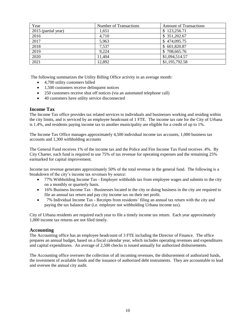| Year                | Number of Transactions | <b>Amount of Transactions</b> |
|---------------------|------------------------|-------------------------------|
| 2015 (partial year) | 1.651                  | \$123,256.71                  |
| 2016                | 4.710                  | \$351,202.67                  |
| 2017                | 5,963                  | \$474,095.75                  |
| 2018                | 7,537                  | \$601,820.87                  |
| 2019                | 9,224                  | \$708,665.76                  |
| 2020                | 11,404                 | \$1,094,514.57                |
| $\overline{2021}$   | 12,892                 | \$1,195,792.58                |

The following summarizes the Utility Billing Office activity in an average month:

- 4,700 utility customers billed
- 1,500 customers receive delinquent notices
- 250 customers receive shut off notices (via an automated telephone call)
- 40 customers have utility service disconnected

### **Income Tax**

The Income Tax office provides tax related services to individuals and businesses working and residing within the city limits, and is serviced by an employee headcount of 1 FTE. The income tax rate for the City of Urbana is 1.4%, and residents paying income tax to another municipality are eligible for a credit of up to 1%.

The Income Tax Office manages approximately 4,500 individual income tax accounts, 1,000 business tax accounts and 1,300 withholding accounts

The General Fund receives 1% of the income tax and the Police and Fire Income Tax Fund receives .4%. By City Charter, each fund is required to use 75% of tax revenue for operating expenses and the remaining 25% earmarked for capital improvement.

Income tax revenue generates approximately 50% of the total revenue in the general fund. The following is a breakdown of the city's income tax revenues by source:

- 77% Withholding Income Tax Employer withholds tax from employee wages and submits to the city on a monthly or quarterly basis.
- 16% Business Income Tax Businesses located in the city or doing business in the city are required to file an annual tax return and pay city income tax on their net profit.
- 7% Individual Income Tax Receipts from residents' filing an annual tax return with the city and paying the tax balance due (i.e. employer not withholding Urbana income tax).

City of Urbana residents are required each year to file a timely income tax return. Each year approximately 1,000 income tax returns are not filed timely.

### **Accounting**

The Accounting office has an employee headcount of 3 FTE including the Director of Finance. The office prepares an annual budget, based on a fiscal calendar year, which includes operating revenues and expenditures and capital expenditures. An average of 2,500 checks is issued annually for authorized disbursements.

The Accounting office oversees the collection of all incoming revenues, the disbursement of authorized funds, the investment of available funds and the issuance of authorized debt instruments. They are accountable to lead and oversee the annual city audit.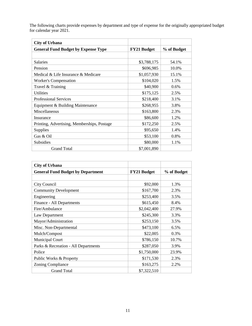The following charts provide expenses by department and type of expense for the originally appropriated budget for calendar year 2021.

| <b>City of Urbana</b>                       |                    |             |
|---------------------------------------------|--------------------|-------------|
| <b>General Fund Budget by Expense Type</b>  | <b>FY21 Budget</b> | % of Budget |
|                                             |                    |             |
| <b>Salaries</b>                             | \$3,788,175        | 54.1%       |
| Pension                                     | \$696,985          | 10.0%       |
| Medical & Life Insurance & Medicare         | \$1,057,930        | 15.1%       |
| <b>Worker's Compensation</b>                | \$104,020          | 1.5%        |
| Travel & Training                           | \$40,900           | 0.6%        |
| <b>Utilities</b>                            | \$175,125          | 2.5%        |
| <b>Professional Services</b>                | \$218,400          | 3.1%        |
| Equipment & Building Maintenance            | \$268,955          | 3.8%        |
| Miscellaneous                               | \$163,800          | 2.3%        |
| Insurance                                   | \$86,600           | 1.2%        |
| Printing, Advertising, Memberships, Postage | \$172,250          | 2.5%        |
| Supplies                                    | \$95,650           | 1.4%        |
| Gas & Oil                                   | \$53,100           | 0.8%        |
| <b>Subsidies</b>                            | \$80,000           | 1.1%        |
| <b>Grand Total</b>                          | \$7,001,890        |             |

| <b>City of Urbana</b>                    |                    |             |  |
|------------------------------------------|--------------------|-------------|--|
| <b>General Fund Budget by Department</b> | <b>FY21 Budget</b> | % of Budget |  |
|                                          |                    |             |  |
| City Council                             | \$92,000           | 1.3%        |  |
| <b>Community Development</b>             | \$167,700          | 2.3%        |  |
| Engineering                              | \$253,400          | 3.5%        |  |
| Finance - All Departments                | \$615,450          | 8.4%        |  |
| Fire/Ambulance                           | \$2,042,400        | 27.9%       |  |
| Law Department                           | \$245,300          | 3.3%        |  |
| Mayor/Administration                     | \$253,150          | 3.5%        |  |
| Misc. Non-Departmental                   | \$473,100          | 6.5%        |  |
| Mulch/Compost                            | \$22,005           | 0.3%        |  |
| <b>Municipal Court</b>                   | \$786,150          | 10.7%       |  |
| Parks & Recreation - All Departments     | \$287,050          | 3.9%        |  |
| Police                                   | \$1,750,000        | 23.9%       |  |
| Public Works & Property                  | \$171,530          | 2.3%        |  |
| <b>Zoning Compliance</b>                 | \$163,275          | 2.2%        |  |
| <b>Grand Total</b>                       | \$7,322,510        |             |  |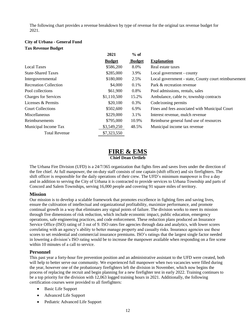The following chart provides a revenue breakdown by type of revenue for the original tax revenue budget for 2021.

### **City of Urbana - General Fund Tax Revenue Budget**

|                              | 2021          | $%$ of        |                                                      |
|------------------------------|---------------|---------------|------------------------------------------------------|
|                              | <b>Budget</b> | <b>Budget</b> | <b>Explanation</b>                                   |
| <b>Local Taxes</b>           | \$586,200     | 8.0%          | Real estate taxes                                    |
| <b>State-Shared Taxes</b>    | \$285,000     | 3.9%          | Local government - county                            |
| Intergovernmental            | \$180,000     | 2.5%          | Local government - state, County court reimbursement |
| <b>Recreation Collection</b> | \$4,000       | 0.1%          | Park & recreation revenue                            |
| Pool collections             | \$61,900      | 0.8%          | Pool admissions, rentals, sales                      |
| <b>Charges for Services</b>  | \$1,110,500   | 15.2%         | Ambulance, cable tv, township contracts              |
| Licenses & Permits           | \$20,100      | 0.3%          | Code/zoning permits                                  |
| <b>Court Collections</b>     | \$502,600     | 6.9%          | Fines and fees associated with Municipal Court       |
| Miscellaneous                | \$229,000     | 3.1%          | Interest revenue, mulch revenue                      |
| Reimbursements               | \$795,000     | 10.9%         | Reimburse general fund use of resources              |
| Municipal Income Tax         | \$3,549,250   | 48.5%         | Municipal income tax revenue                         |
| <b>Total Revenue</b>         | \$7,323,550   |               |                                                      |

### **FIRE & EMS Chief Dean Ortlieb**

The Urbana Fire Division (UFD) is a 24/7/365 organization that fights fires and saves lives under the direction of the fire chief. At full manpower, the on-duty staff consists of one captain (shift officer) and six firefighters. The shift officer is responsible for the daily operations of their crew. The UFD's minimum manpower is five a day and in addition to serving the City of Urbana it is contracted to provide services to Urbana Township and parts of Concord and Salem Townships, serving 16,000 people and covering 91 square miles of territory.

### **Mission**

Our mission is to develop a scalable framework that promotes excellence in fighting fires and saving lives, ensure the cultivation of intellectual and organizational profitability, maximize performance, and promote continual growth in a way that eliminates any signal points of failure. The division works to meet its mission through five dimensions of risk reduction, which include economic impact, public education, emergency operations, safe engineering practices, and code enforcement. These reduction plans produced an Insurance Service Office (ISO) rating of 3 out of 9. ISO rates fire agencies through data and analytics, with lower scores correlating with an agency's ability to better manage property and casualty risks. Insurance agencies use these scores to set residential and commercial insurance premiums. ISO's ratings that the largest single factor needed in lowering a division's ISO rating would be to increase the manpower available when responding on a fire scene within 10 minutes of a call to service.

### **Personnel**

This past year a forty-hour fire prevention position and an administrative assistant to the UFD were created, both will help to better serve our community. We experienced full manpower when two vacancies were filled during the year, however one of the probationary firefighters left the division in November, which now begins the process of replacing the recruit and begin planning for a new firefighter test in early 2022. Training continues to be a top priority for the division with 12,063 logged training hours in 2021. Additionally, the following certification courses were provided to all firefighters:

- Basic Life Support
- Advanced Life Support
- Pediatric Advanced Life Support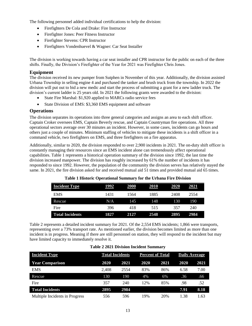The following personnel added individual certifications to help the division:

- Firefighters De Cola and Drake: Fire Instructor
- Firefighter Jones: Peer Fitness Instructor
- Firefighter Stevens: CPR Instructor
- Firefighters Vondenhuevel & Wagner: Car Seat Installer

The division is working towards having a car seat installer and CPR instructor for the public on each of the three shifts. Finally, the Division's Firefighter of the Year for 2021 was Firefighter Chris Jones.

### **Equipment**

The division received its new pumper from Sutphen in November of this year. Additionally, the division assisted Urbana Township in selling engine 4 and purchased the tanker and brush truck from the township. In 2022 the division will put out to bid a new medic and start the process of submitting a grant for a new ladder truck. The division's current ladder is 25 years old. In 2021 the following grants were awarded to the division:

- State Fire Marshal: \$1,920 applied to MARCs radio service fees
- State Division of EMS: \$3,360 EMS equipment and software

### **Operations**

The division separates its operations into three general categories and assigns an area to each shift officer. Captain Croker oversees EMS, Captain Beverly rescue, and Captain Countryman fire operations. All three operational sectors average over 30 minutes an incident. However, in some cases, incidents can go hours and others just a couple of minutes. Minimum staffing of vehicles to mitigate these incidents is a shift officer in a command vehicle, two firefighters on EMS, and three firefighters on a fire apparatus.

Additionally, similar to 2020, the division responded to over 2,900 incidents in 2021. The on-duty shift officer is constantly managing their resources since an EMS incident alone can tremendously affect operational capabilities. Table 1 represents a historical operation summary of the division since 1992, the last time the division increased manpower. The division has roughly increased by 61% the number of incidents it has responded to since 1992. However, the population of the community the division serves has relatively stayed the same. In 2021, the fire division asked for and received mutual aid 51 times and provided mutual aid 65 times.

| <b>Incident Type</b>   | 1992 | <b>2000</b> | <b>2010</b> | 2020 | 2021 |
|------------------------|------|-------------|-------------|------|------|
| <b>EMS</b>             | 1431 | 1564        | 1885        | 2408 | 2554 |
| Rescue                 | N/A  | 145         | 148         | 130  | 190  |
| Fire                   | 396  | 418         | 515         | 357  | 240  |
| <b>Total Incidents</b> | 1827 | 2127        | 2548        | 2895 | 2984 |

**Table 1 Historic Operational Summary for the Urbana Fire Division**

Table 2 represents a detailed incident summary for 2021. Of the 2,554 EMS incidents; 1,866 were transports, representing over a 73% transport rate. As mentioned earlier, the division becomes limited as more than one incident is in progress. Meaning if there are still personnel on station, they will respond to the incident but may have limited capacity to immediately resolve it.

### **Table 2 2021 Division Incident Summary**

| <b>Incident Type</b>           |       | <b>Total Incidents</b> |             | <b>Percent of Total</b> |      | Daily Average |  |
|--------------------------------|-------|------------------------|-------------|-------------------------|------|---------------|--|
| <b>Year Comparison</b>         | 2020  | 2021                   | <b>2020</b> | 2021                    | 2020 | 2021          |  |
| <b>EMS</b>                     | 2.408 | 2554                   | 83%         | 86%                     | 6.58 | 7.00          |  |
| Rescue                         | 130   | 190                    | 4%          | 6%                      | .36  | .66           |  |
| Fire                           | 357   | 240                    | 12%         | 85%                     | .98  | .52           |  |
| <b>Total Incidents</b>         | 2895  | 2984                   |             |                         | 7.91 | 8.18          |  |
| Multiple Incidents in Progress | 556   | 596                    | 19%         | 20%                     | 1.38 | 1.63          |  |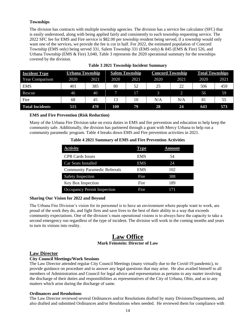### **Townships**

The division has contracts with multiple township agencies. The division has a service fee calculator (SFC) that is easily understood, along with being applied fairly and consistently to each township requesting service. The 2022 SFC fee for EMS and Fire service is \$82.00 per township resident being served, if a township would only want one of the services, we provide the fee is cut in half. For 2022, the estimated population of Concord Township (EMS only) being served 331, Salem Township 331 (EMS only) & 845 (EMS & Fire) 526, and Urbana Township (EMS & Fire) 3,040, Table 3 represents the 2020 operational summary for the townships covered by the division.

| <b>Incident Type</b>   | Urbana Township |      |      | <b>Salem Township</b> | <b>Concord Township</b> |      | <b>Total Townships</b> |      |
|------------------------|-----------------|------|------|-----------------------|-------------------------|------|------------------------|------|
| <b>Year Comparison</b> | 2020            | 2021 | 2020 | 2021                  | 2020                    | 2021 | 2020                   | 2021 |
| <b>EMS</b>             | 401             | 385  | 80   | 52                    | 25                      | 22   | 506                    | 459  |
| Rescue                 | 46              | 40   |      | 17                    |                         |      | 56                     | 59   |
| Fire                   | 68              | 45   | 13   | 10                    | N/A                     | N/A  | 81                     | 55   |
| <b>Total Incidents</b> | 515             | 470  | 100  | 79                    | 28                      | 24   | 643                    | 573  |

#### **Table 3 2021 Township Incident Summary**

### **EMS and Fire Prevention (Risk Reduction)**

Many of the Urbana Fire Division take on extra duties in EMS and fire prevention and education to help keep the community safe. Additionally, the division has partnered through a grant with Mercy Urbana to help run a community paramedic program. Table 4 breaks down EMS and Fire prevention activities in 2021.

| Table 4 2021 Summary of EMS and Fire Prevention Activities |
|------------------------------------------------------------|
|------------------------------------------------------------|

| <b>Activity</b>                      | Type       | <b>Amount</b> |
|--------------------------------------|------------|---------------|
| <b>CPR Cards Issues</b>              | <b>EMS</b> | 54            |
| <b>Car Seats Installed</b>           | <b>EMS</b> | 24            |
| <b>Community Paramedic Referrals</b> | EMS        | 102           |
| <b>Safety Inspection</b>             | Fire       | 388           |
| Key Box Inspection                   | Fire       | 189           |
| <b>Occupancy Permit Inspection</b>   | Fire       | 171           |

#### **Sharing Our Vision for 2022 and Beyond**

The Urbana Fire Division's vision for its personnel is to have an environment where people want to work, are proud of the work they do, and fight fires and save lives to the best of their ability in a way that exceeds community expectations. One of the division's main operational visions is to always have the capacity to take a second emergency run regardless of the type of incident. The division will work in the coming months and years to turn its visions into reality.

## **Law Office**

### **Mark Feinstein: Director of Law**

### **Law Director**

### **City Council Meetings/Work Sessions**

The Law Director attended regular City Council Meetings (many virtually due to the Covid-19 pandemic), to provide guidance on procedure and to answer any legal questions that may arise. He also availed himself to all members of Administration and Council for legal advice and representation as pertains to any matter involving the discharge of their duties and responsibilities as representatives of the City of Urbana, Ohio, and as to any matters which arise during the discharge of same.

#### **Ordinances and Resolutions**

The Law Director reviewed several Ordinances and/or Resolutions drafted by many Divisions/Departments, and also drafted and submitted Ordinances and/or Resolutions when needed. He reviewed them for compliance with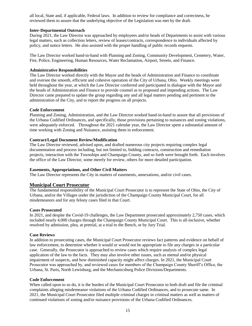all local, State and, if applicable, Federal laws. In addition to review for compliance and correctness, he reviewed them to assure that the underlying objective of the Legislation was met by the draft.

### **Inter-Departmental Outreach**

During 2021, the Law Director was approached by employees and/or heads of Departments to assist with various legal matters, such as collection letters, review of leases/contracts, correspondence to individuals affected by policy, and notice letters. He also assisted with the proper handling of public records requests.

The Law Director worked hand-in-hand with Planning and Zoning, Community Development, Cemetery, Water, Fire, Police, Engineering, Human Resources, Water Reclamation, Airport, Streets, and Finance.

### **Administrative Responsibilities**

The Law Director worked directly with the Mayor and the heads of Administration and Finance to coordinate and oversee the smooth, efficient and cohesive operation of the City of Urbana, Ohio. Weekly meetings were held throughout the year, at which the Law Director conferred and participated in dialogue with the Mayor and the heads of Administration and Finance to provide counsel as to proposed and impending actions. The Law Director came prepared to update the group regarding any and all legal matters pending and pertinent to the administration of the City, and to report the progress on all projects.

### **Code Enforcement**

Planning and Zoning, Administration, and the Law Director worked hand-in-hand to assure that all provisions of the Urbana Codified Ordinances, and specifically, those provisions pertaining to nuisances and zoning violations, were adequately enforced. Throughout the 2021 calendar year, the Law Director spent a substantial amount of time working with Zoning and Nuisance, assisting them in enforcement.

### **Contract/Legal Document Review/Modification**

The Law Director reviewed, advised upon, and drafted numerous city projects requiring complex legal documentation and process including, but not limited to, bidding contracts, construction and remediation projects, interaction with the Townships and Champaign County, and so forth were brought forth. Each involves the office of the Law Director, some merely for review, others for more detailed participation.

#### **Easements, Appropriations, and Other Civil Matters**

The Law Director represents the City in matters of easements, annexations, and/or civil cases.

### **Municipal Court Prosecutor**

The fundamental responsibility of the Municipal Court Prosecutor is to represent the State of Ohio, the City of Urbana, and/or the Villages under the jurisdiction of the Champaign County Municipal Court, for all misdemeanors and for any felony cases filed in that Court.

#### **Cases Prosecuted**

In 2021, and despite the Covid-19 challenges, the Law Department prosecuted approximately 2,750 cases, which included nearly 4,000 charges through the Champaign County Municipal Court. This is all-inclusive, whether resolved by admission, plea, at pretrial, at a trial to the Bench, or by Jury Trial.

#### **Case Reviews**

In addition to prosecuting cases, the Municipal Court Prosecutor reviews fact patterns and evidence on behalf of law enforcement, to determine whether it would or would not be appropriate to file any charges in a particular case. Generally, the Prosecutor is approached to review cases which require analysis of complex legal application of the law to the facts. They may also involve other issues, such as mental and/or physical impairment of suspects, and how diminished capacity might affect charges. In 2021, the Municipal Court Prosecutor was approached by, and reviewed cases for members of the Champaign County Sheriff's Office, the Urbana, St. Paris, North Lewisburg, and the Mechanicsburg Police Divisions/Departments.

#### **Code Enforcement**

When called upon to so do, it is the burden of the Municipal Court Prosecutor to both draft and file the criminal complaints alleging misdemeanor violations of the Urbana Codified Ordinances, and to prosecute same. In 2021, the Municipal Court Prosecutor filed multiple criminal charges in criminal matters as well as matters of continued violations of zoning and/or nuisance provisions of the Urbana Codified Ordinances.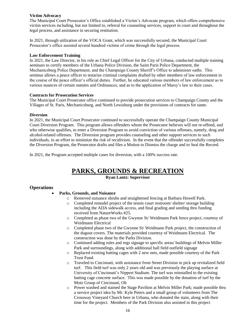### **Victim Advocacy**

The Municipal Court Prosecutor's Office established a Victim's Advocate program, which offers comprehensive victim services including, but not limited to, referral for counseling services, support in court and throughout the legal process, and assistance in securing restitution.

In 2021, through utilization of the VOCA Grant, which was successfully secured, the Municipal Court Prosecutor's office assisted several hundred victims of crime through the legal process.

#### **Law Enforcement Training**

In 2021, the Law Director, in his role as Chief Legal Officer for the City of Urbana, conducted multiple training seminars to certify members of the Urbana Police Division, the Saint Paris Police Department, the Mechanicsburg Police Department, and the Champaign County Sheriff's Office to administer oaths. This seminar allows a peace officer to notarize criminal complaints drafted by other members of law enforcement in the course of the peace officer's official duties. Further, he educated various members of law enforcement as to various nuances of certain statutes and Ordinances, and as to the application of Marsy's law to their cases.

### **Contracts for Prosecution Services**

The Municipal Court Prosecutor office continued to provide prosecution services to Champaign County and the Villages of St. Paris, Mechanicsburg, and North Lewisburg under the provisions of contracts for same.

### **Diversion**

In 2021, the Municipal Court Prosecutor continued to successfully operate the Champaign County Municipal Court Diversion Program. This program allows offenders whom the Prosecutor believes will not re-offend, and who otherwise qualifies, to enter a Diversion Program to avoid conviction of various offenses, namely, drug and alcohol-related offenses. The Diversion program provides counseling and other support services to such individuals, in an effort to minimize the risk of recidivism. In the event that the offender successfully completes the Diversion Program, the Prosecutor drafts and files a Motion to Dismiss the charge and to Seal the Record.

In 2021, the Program accepted multiple cases for diversion, with a 100% success rate.

### **PARKS, GROUNDS & RECREATION**

**Ryan Lantz: Supervisor**

### **Operations**

- **Parks, Grounds, and Nuisance**
	- o Removed nuisance shrubs and straightened fencing at Barbara Howell Park.
	- Completed remodel project of the tennis court restroom/ shelter/ storage building including the ADA sidewalk access, and final grading and seeding thru funding received from NatureWorks #25.
	- o Completed as phase two of the Gwynne St/ Weidmann Park fence project, courtesy of Weidmann Electrical
	- $\circ$  Completed phase two of the Gwynne St/Weidmann Park project, the construction of the dugout covers. The materials provided courtesy of Weidmann Electrical. The construction was done by the Parks Division.
	- $\circ$  Continued adding rules and regs signage to specific areas/ buildings of Melvin Miller Park and surroundings, along with additional ball field outfield signage
	- $\circ$  Replaced existing batting cages with 2 new nets, made possible courtesy of the Park Trust Fund.
	- o Traveled to Cincinnati, with assistance from Street Division to pick up revitalized field turf. This field turf was only 2 years old and was previously the playing surface at University of Cincinnati's Nippert Stadium. The turf was reinstalled to the existing batting cage concrete surface. This was made possible by the donation of turf by the Motz Group of Cincinnati, Oh
	- o Power washed and stained the Stage Pavilion at Melvin Miller Park; made possible thru a service project idea by Mr. Kyle Peters and a small group of volunteers from The Crossway Vineyard Church here in Urbana, who donated the stain, along with their time for the project. Members of the Park Division also assisted in this project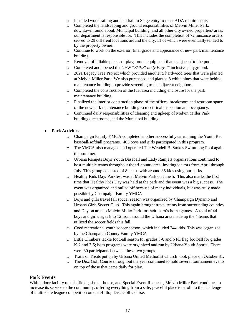- o Installed wood railing and handrail to Stage entry to meet ADA requirements
- o Completed the landscaping and ground responsibilities of Melvin Miller Park, downtown round about, Municipal building, and all other city owned properties/ areas our department is responsible for. This includes the completion of 72 nuisance orders served to 29 different locations around the city, 11 of which were eventually tended to by the property owner.
- o Continue to work on the exterior, final grade and appearance of new park maintenance building.
- o Removal of 2 liable pieces of playground equipment that is adjacent to the pool.
- o Completed and opened the NEW "*EVERYbody Plays!*" inclusive playground.
- o 2021 Legacy Tree Project which provided another 5 hardwood trees that were planted at Melvin Miller Park We also purchased and planted 8 white pines that were behind maintenance building to provide screening to the adjacent neighbors.
- o Completed the construction of the fuel area including enclosure for the park maintenance building.
- o Finalized the interior construction phase of the offices, breakroom and restroom space of the new park maintenance building to meet final inspection and occupancy.
- o Continued daily responsibilities of cleaning and upkeep of Melvin Miller Park buildings, restrooms, and the Municipal building.

### • **Park Activities**

- o Champaign Family YMCA completed another successful year running the Youth Rec baseball/softball programs. 405 boys and girls participated in this program.
- o The YMCA also managed and operated The Wendell B. Stokes Swimming Pool again this summer.
- o Urbana Ramjets Boys Youth Baseball and Lady Ramjets organizations continued to host multiple teams throughout the tri-county area, inviting visitors from April through July. This group consisted of 8 teams with around 85 kids using our parks.
- o Healthy Kids Day/ Parkfest was at Melvin Park on June 5. This also marks the first time that Healthy Kids Day was held at the park and the event was a big success. The event was organized and pulled off because of many individuals, but was truly made possible by Champaign Family YMCA
- o Boys and girls travel fall soccer season was organized by Champaign Dynamo and Urbana Girls Soccer Club. This again brought travel teams from surrounding counties and Dayton area to Melvin Miller Park for their team's home games. A total of 44 boys and girls, ages 8 to 12 from around the Urbana area made up the 4 teams that utilized the soccer fields this fall.
- o Coed recreational youth soccer season, which included 244 kids. This was organized by the Champaign County Family YMCA
- o Little Climbers tackle football season for grades 3-6 and NFL flag football for grades K-2 and 3-5; both programs were organized and run by Urbana Youth Sports. There were 80 participants between these two groups.
- o Trails or Treats put on by Urbana United Methodist Church took place on October 31.
- o The Disc Golf Course throughout the year continued to hold several tournament events on top of those that came daily for play.

#### **Park Events**

With indoor facility rentals, fields, shelter house, and Special Event Requests, Melvin Miller Park continues to increase its service to the community; offering everything from a safe, peaceful place to stroll, to the challenge of multi-state league competition on our Hilltop Disc Golf Course.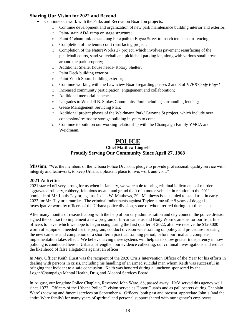### **Sharing Our Vision for 2022 and Beyond**

- Continue our work with the Parks and Recreation Board on projects:
	- o Continue development and organization of new park maintenance building interior and exterior;
	- o Paint/ stain ADA ramp on stage structure;
	- o Paint 4' chain link fence along bike path to Boyce Street to match tennis court fencing;
	- o Completion of the tennis court resurfacing project;
	- o Completion of the NatureWorks 27 project, which involves pavement resurfacing of the pickleball courts, sand volleyball and pickleball parking lot, along with various small areas around the park property;
	- o Additional Shelter house needs- Rotary Shelter;
	- o Paint Deck building exterior;
	- o Paint Youth Sports building exterior;
	- o Continue working with the Lawnview Board regarding phases 2 and 3 of *EVERYbody Plays!*
	- o Increased community participation, engagement and collaboration;
	- o Additional memorial benches;
	- o Upgrades to Wendell B. Stokes Community Pool including surrounding fencing;
	- o Geese Management Servicing Plan;
	- o Additional project phases of the Weidmann Park/ Gwynne St project, which include new concession/ restroom/ storage building in years to come.
	- o Continue to build on our working relationship with the Champaign Family YMCA and Weidmann.

### **POLICE**

### **Chief Matthew Lingrell Proudly Serving Our Community Since April 27, 1868**

**Mission:** "We, the members of the Urbana Police Division, pledge to provide professional, quality service with integrity and teamwork, to keep Urbana a pleasant place to live, work and visit."

### **2021 Activities**

2021 started off very strong for us when in January, we were able to bring criminal indictments of murder, aggravated robbery, robbery, felonious assault and grand theft of a motor vehicle, in relation to the 2011 homicide of Mr. Louis Taylor, against Josiah W. Matthews, 29. Matthews is scheduled to stand trial in early 2022 for Mr. Taylor's murder. The criminal indictments against Taylor came after 9 years of dogged investigative work by officers of the Urbana police division, some of whom retired during that time span.

After many months of research along with the help of our city administration and city council, the police division signed the contract to implement a new program of In-car cameras and Body Worn Cameras for our front line officers to have, which we hope to begin using during the first quarter of 2022, after we receive the \$120,000 worth of equipment needed for the program, conduct division wide training on policy and procedure for using the new cameras and completion of a short term practical training period, before our final and complete implementation takes effect. We believe having these systems will help us to show greater transparency in how policing is conducted here in Urbana, strengthen our evidence collecting, our criminal investigations and reduce the likelihood of false allegations against an officer.

In May, Officer Keith Hurst was the recipient of the 2020 Crisis Intervention Officer of the Year for his efforts in dealing with persons in crisis, including his handling of an armed suicidal man whom Keith was successful in bringing that incident to a safe conclusion. Keith was honored during a luncheon sponsored by the Logan/Champaign Mental Health, Drug and Alcohol Services Board.

In August, our longtime Police Chaplain, Reverend John Ware, 88, passed away. He'd served this agency well since 1973. Officers of the Urbana Police Division served as Honor Guards and as pall bearers during Chaplain Ware's viewing and funeral services on September 4. Officers, both past and present, appreciate John's (and the entire Ware family) for many years of spiritual and personal support shared with our agency's employees.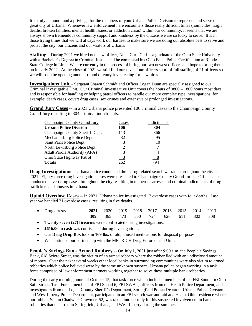It is truly an honor and a privilege for the members of your Urbana Police Division to represent and serve the great city of Urbana. Whenever law enforcement here encounters those really difficult times (homicides, tragic deaths, broken families, mental health issues, or addiction crisis) within our community, it seems that we are always shown tremendous community support and kindness by the citizens we are so lucky to serve. It is in those trying times that we will always work our hardest to make sure we are doing our absolute best to serve and protect the city, our citizens and our visitors of Urbana.

**Staffing** – During 2021 we hired one new officer, Noah Curl. Curl is a graduate of the Ohio State University with a Bachelor's Degree in Criminal Justice and he completed his Ohio Basic Police Certification at Rhodes State College in Lima. We are currently in the process of hiring our two newest officers and hope to bring them on in early 2022. At the close of 2021 we still find ourselves four officers short of full staffing of 21 officers so we will soon be opening another round of entry-level testing for new hires.

**Investigations Unit** – Sergeant Shawn Schmidt and Officer Logan Dunn are specially assigned to our Criminal Investigative Unit. Our Criminal Investigative Unit covers the hours of 0800 – 1800 hours most days and is responsible for handling or helping patrol officers to handle our more complex type investigations, for example: death cases, covert drug cases, sex crimes and extensive or prolonged investigations.

**Grand Jury Cases** -- In 2021 Urbana police presented 106 criminal cases to the Champaign County Grand Jury resulting in 304 criminal indictments.

| Champaign County Grand Jury         | Cases | Indictments |
|-------------------------------------|-------|-------------|
| <b>Urbana Police Division</b>       | 106   | 304         |
| Champaign County Sheriff Dept.      | 113   | 366         |
| Mechanicsburg Police Dept.          | 32    | 95          |
| Saint Paris Police Dept.            | 3     | 10          |
| North Lewisburg Police Dept.        | 2     |             |
| <b>Adult Parole Authority (APA)</b> | 3     | 4           |
| Ohio State Highway Patrol           | 3     | <u>8</u>    |
| <b>Totals</b>                       | 262   | 794         |

**Drug Investigations** -- Urbana police conducted three drug related search warrants throughout the city in 2021. Eighty-three drug investigation cases were presented to Champaign County Grand Juries. Officers also conducted covert drug cases throughout the city resulting in numerous arrests and criminal indictments of drug traffickers and abusers in Urbana.

**Opioid Overdose Cases** -- In 2021, Urbana police investigated 12 overdose cases with four deaths. Last year we handled 21 overdose cases, resulting in five deaths.

| • Drug arrests stats: |  |  | 2021 2020 2019 2018 2017 2016 2015 2014 2013 |  |  |
|-----------------------|--|--|----------------------------------------------|--|--|
|                       |  |  | <b>309</b> 365 473 550 724 620 611 302 308   |  |  |

- **Twenty-seven (27) firearms** were confiscated during investigations.
- **\$616.00** in **cash** was confiscated during investigations.
- Our **Drug Drop Box** took in **169 lbs.** of old, unused medications for disposal purposes.
- We continued our partnership with the METRICH Drug Enforcement Unit.

**People's Savings Bank Armed Robbery** -- On July 1, 2021 just after 9:00 a.m. the People's Savings Bank, 618 Scioto Street, was the victim of an armed robbery where the robber fled with an undisclosed amount of money. Over the next several weeks other local banks in surrounding communities were also victim to armed robberies which police believed were by the same unknown suspect. Urbana police began working in a task force comprised of law enforcement partners working together to solve these multiple bank robberies.

During the early morning hours of October 15, that task force which included members of the FBI Southern Ohio Safe Streets Task Force, members of FBI Squad 6, FBI SWAT, officers from the Heath Police Department, and investigators from the Logan County Sheriff's Department, Springfield Police Division, Urbana Police Division and West Liberty Police Department, participated in an FBI search warrant raid at a Heath, Ohio residence where our robber, Stefan Chadwick Crawmer, 52, was taken into custody for his suspected involvement in bank robberies that occurred in Springfield, Urbana, and West Liberty during the summer.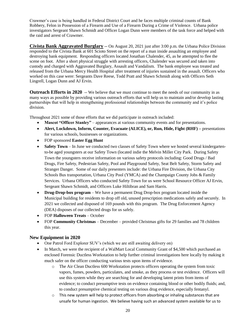Crawmer's case is being handled in Federal District Court and he faces multiple criminal counts of Bank Robbery, Felon in Possession of a Firearm and Use of a Firearm During a Crime of Violence. Urbana police investigators Sergeant Shawn Schmidt and Officer Logan Dunn were members of the task force and helped with the raid and arrest of Crawmer.

**Civista Bank Aggravated Burglary** -- On August 20, 2021 just after 3:00 p.m. the Urbana Police Division responded to the Civista Bank at 601 Scioto Street on the report of a man inside assaulting an employee and destroying bank equipment. Responding officers located Jonathan Chalender, 45, as he attempted to flee the scene on foot. After a short physical struggle with arresting officers, Chalender was secured and taken into custody and charged with Aggravated Burglary, Assault and Vandalism. The bank employee was treated and released from the Urbana Mercy Health Hospital after treatment of injuries sustained in the assault. Officers who worked on this case were: Sergeants Dave Reese, Todd Pratt and Shawn Schmidt along with Officers Seth Lingrell, Logan Dunn and AJ Ervin.

**Outreach Efforts in 2020** -- We believe that we must continue to meet the needs of our community in as many ways as possible by providing various outreach efforts that will help us to maintain and/or develop lasting partnerships that will help in strengthening professional relationships between the community and it's police division.

Throughout 2021 some of those efforts that we did participate in outreach included:

- **Mascot "Officer Stanley"** appearances at various community events and for presentations.
- **Alert, Lockdown, Inform, Counter, Evacuate (ALICE), or, Run, Hide, Fight (RHF)** presentations for various schools, businesses or organizations.
- FOP sponsored **Easter Egg Hunt**
- **Safety Town** In June we conducted two classes of Safety Town where we hosted several kindergartento-be aged youngsters at our Safety Town (located indie the Melvin Miller City Park. During Safety Town the youngsters receive information on various safety protocols including: Good Drugs / Bad Drugs, Fire Safety, Pedestrian Safety, Pool and Playground Safety, Seat Belt Safety, Storm Safety and Stranger Danger. Some of our daily presenters include: the Urbana Fire Division, the Urbana City Schools Bus transportation, Urbana City Pool (YMCA) and the Champaign County Jobs & Family Services. Urbana Officers who conducted Safety Town for us were School Resource Officer AJ Ervin, Sergeant Shawn Schmidt, and Officers Luke Hiltibran and Sam Harris.
- **Drug-Drop-box program** We have a permanent Drug Drop-box program located inside the Municipal building for residents to drop off old, unused prescription medications safely and securely. In 2021 we collected and disposed of 169 pounds with this program. The Drug Enforcement Agency (DEA) disposes of our collected drugs for us safely.
- FOP **Halloween Treats** October
- FOP **Community Christmas** December provided Christmas gifts for 29 families and 78 children this year.

### **New Equipment in 2020**

- One Patrol Ford Explorer SUV's (which we are still awaiting delivery on)
- In March, we were the recipient of a WalMart Local Community Grant of \$4,500 which purchased an enclosed Forensic Ductless Workstation to help further criminal investigations here locally by making it much safer on the officer conducting various tests upon items of evidence.
	- o The Air Clean Ductless 600 Workstation protects officers operating the system from toxic vapors, fumes, powders, particulates, and smoke, as they process or test evidence. Officers will use this system while they are searching for and developing latent prints from items of evidence; to conduct presumptive tests on evidence containing blood or other bodily fluids; and, to conduct presumptive chemical testing on various drug evidence, especially fentanyl.
	- $\circ$  This new system will help to protect officers from absorbing or inhaling substances that are unsafe for human ingestion. We believe having such an advanced system available for us to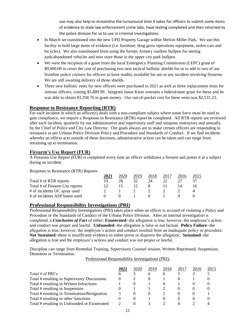use may also help to streamline the turnaround time it takes for officers to submit some items of evidence to state law enforcement crime labs, have testing completed and then returned to the police division for us to use in criminal investigations.

- In March we transitioned into the new UPD Property Garage within Melvin Miller Park. We use this facility to hold large items of evidence (i.e. furniture, drug grow operations equipment, stolen cars and bicycles). We also transitioned from using the former Armory outdoor bullpen for storing junk/abandoned vehicles and now store those in the upper city park bullpen.
- We were the recipient of a grant from the local Emergency Planning Commission (LEPC) grant of \$9,000.00 to cover the cost of purchasing two new tactical ballistic shields for us to add to two of our frontline police cruisers for officers to have readily available for use at any incident involving firearms. We are still awaiting delivery of those shields.
- Three new ballistic vests for new officers were purchased in 2021 as well as three replacement vests for veteran officers, costing \$5,889.99. Sergeant Jason Kizer oversees a federal/state grant for these and he was able to obtain \$3,358.76 in grant money. Our out-of-pocket cost for these vests was \$2,531.23.

### **Response to Resistance Reporting (RTR)**

For each incident in which an officer(s) deals with a non-compliant subject where some force must be used to gain compliance, we require a Response to Resistance (RTR) report be completed. All RTR reports are reviewed after each incident, quarterly by our administrative and supervisory staff and weapons instructors and annually by the Chief of Police and City Law Director. Our goals always are to make certain officers are responding to resistance as per Urbana Police Division Policy and Procedure and Standards of Conduct. If we find incidents whereby an officer acts outside of these doctrines, administrative action can be taken and can range from retraining up to termination.

### **Firearm's Use Report (FUR)**

A Firearms Use Report (FUR) is completed every time an officer withdraws a firearm and points it at a subject during an incident.

Response to Resistance (RTR) Reports:

|                                | 2021 | 2020 | 2019 | 2018 | 2017 | 2016 | 2015 |
|--------------------------------|------|------|------|------|------|------|------|
| Total # of RTR reports         | 19   | 28   | 32   | 24   |      |      | 37   |
| Total # of Firearm Use reports | 12   |      |      |      |      |      |      |
| # of incidents OC spray used   |      |      |      |      |      |      |      |
| # of incidents ASP baton used  |      |      |      |      |      |      |      |

### **Professional Responsibility Investigations (PRI)**

Professional Responsibility Investigations (PRI) takes place when an officer is accused of violating a Policy and Procedure or the Standards of Conduct of the Urbana Police Division. After an internal investigation is completed, a *Conclusion of Fact* of either: **Exonerated**--the allegation is true; however, the employee's action and conduct was proper and lawful. **Unfounded**--the allegation is false or not factual. **Policy Failure**--the allegation is true; however, the employee's action and conduct resulted from an inadequate policy or procedure. **Not Sustained**--there is insufficient evidence to either prove or disprove the allegation. **Sustained**--the allegation is true and the employee's actions and conduct was not proper or lawful.

Discipline can range from Remedial Training, Supervisory Counsel session, Written Reprimand, Suspension, Demotion or Termination.

Professional Responsibility Investigations (PRI):

|                                              | 2021     | 2020 | 2019 | 2018 | 2017 | 2016 | 2015 |
|----------------------------------------------|----------|------|------|------|------|------|------|
| Total # of PRI's                             | h.       |      |      | 6    |      |      |      |
| Total # resulting in Supervisory Discussions | $\theta$ |      |      |      |      |      |      |
| Total # resulting in Written Infractions     |          |      |      |      |      |      |      |
| Total # resulting in Suspension              |          |      |      |      |      |      |      |
| Total # resulting in Termination/Resignation |          |      |      |      |      |      |      |
| Total # resulting in other Sanctions         |          |      |      |      |      |      |      |
| Total # resulting in Unfounded or Exonerated |          |      |      |      |      |      |      |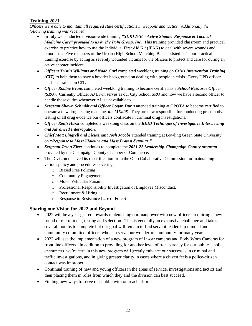### **Training 2021**

*Officers were able to maintain all required state certifications in weapons and tactics. Additionally the following training was received:*

- In July we conducted division-wide training *"SURVIVE – Active Shooter Response & Tactical Medicine Care" provided to us by the Pohl Group, Inc.* This training provided classroom and practical exercise to practice how to use the Individual First Aid Kit (IFAK) to deal with severe wounds and blood loss. Five members of the Urbana High School Marching Band assisted us in our practical training exercise by acting as severely wounded victims for the officers to protect and care for during an active shooter incident.
- *Officers Tristin Williams and Noah Curl* completed weeklong training on *Crisis Intervention Training (CIT)* to help them to have a broader background on dealing with people in crisis. Every UPD officer has been trained in CIT.
- *Officer Robbie Evans* completed weeklong training to become certified as a *School Resource Officer (SRO)*. Currently Officer AJ Ervin serves as our City School SRO and now we have a second officer to handle those duties whenever AJ is unavailable to.
- *Sergeant Shawn Schmidt and Officer Logan Dunn* attended training at OPOTA to become certified to operate a dew drug testing machine*, the MX908*. They are now responsible for conducting presumptive testing of all drug evidence our officers confiscate in criminal drug investigations.
- *Officer Keith Hurst* completed a weeklong class on the *REID Technique of Investigative Interviewing and Advanced Interrogation.*
- *Chief Matt Lingrell and Lieutenant Josh Jacobs* attended training at Bowling Green State University on *"Response to Mass Violence and Mass Protest Seminar."*
- *Sergeant Jason Kizer* continues to complete the *2021-22 Leadership-Champaign County program*  provided by the Champaign County Chamber of Commerce.
- The Division received its recertification from the Ohio Collaborative Commission for maintaining various policy and procedures covering:
	- o Biased Free Policing
	- o Community Engagement
	- o Motor Vehicular Pursuit
	- o Professional Responsibility Investigation of Employee Misconduct.
	- o Recruitment & Hiring
	- o Response to Resistance (Use of Force)

### **Sharing our Vision for 2022 and Beyond**

- 2022 will be a year geared towards replenishing our manpower with new officers, requiring a new round of recruitment, testing and selection. This is generally an exhaustive challenge and takes several months to complete but our goal will remain to find servant leadership minded and community committed officers who can serve our wonderful community for many years.
- 2022 will see the implementation of a new program of In-car cameras and Body Worn Cameras for front line officers. In addition to providing for another level of transparency for our public – police encounters, we're certain this new program will greatly enhance our successes in criminal and traffic investigations, and in giving greater clarity in cases where a citizen feels a police-citizen contact was improper.
- Continual training of new and young officers in the areas of service, investigations and tactics and then placing them in roles from which they and the division can best succeed.
- Finding new ways to serve our public with outreach efforts.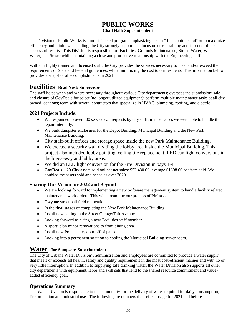# **PUBLIC WORKS**

### **Chad Hall: Superintendent**

The Division of Public Works is a multi-faceted program emphasizing "team." In a continued effort to maximize efficiency and minimize spending, the City strongly supports its focus on cross-training and is proud of the successful results. This Division is responsible for: Facilities; Grounds Maintenance; Street; Water; Waste Water; and Sewer while maintaining a close and productive relationship with the Engineering staff.

With our highly trained and licensed staff, the City provides the services necessary to meet and/or exceed the requirements of State and Federal guidelines, while minimizing the cost to our residents. The information below provides a snapshot of accomplishments in 2021:

### **Facilities Brad Yost: Supervisor**

The staff helps when and where necessary throughout various City departments; oversees the submission; sale and closure of GovDeals for select (no longer utilized equipment); perform multiple maintenance tasks at all city owned locations; team with several contractors that specialize in HVAC, plumbing, roofing, and electric.

### **2021 Projects Include:**

- We responded to over 100 service call requests by city staff; in most cases we were able to handle the repair internally.
- We built dumpster enclosures for the Depot Building, Municipal Building and the New Park Maintenance Building.
- City staff-built offices and storage space inside the new Park Maintenance Building.
- We erected a security wall dividing the lobby area inside the Municipal Building. This project also included lobby painting, ceiling tile replacement, LED can light conversions in the breezeway and lobby areas.
- We did an LED light conversion for the Fire Division in bays 1-4.
- **GovDeals –** 29 City assets sold online; net sales: \$52,430.00; average \$1808.00 per item sold. We doubled the assets sold and net sales over 2020.

### **Sharing Our Vision for 2022 and Beyond**

- We are looking forward to implementing a new Software management system to handle facility related maintenance work orders. This will streamline our process of PM tasks.
- Gwynne street ball field renovation
- In the final stages of completing the New Park Maintenance Building
- Install new ceiling in the Street Garage/Taft Avenue.
- Looking forward to hiring a new Facilities staff member.
- Airport: plan minor renovations to front dining area.
- Install new Police entry door off of patio.
- Looking into a permanent solution to cooling the Municipal Building server room.

### **Water Joe Sampson: Superintendent**

The City of Urbana Water Division's administration and employees are committed to produce a water supply that meets or exceeds all health, safety and quality requirements in the most cost-efficient manner and with no or very little interruption. In addition to supplying safe drinking water, the Water Division also supports all other city departments with equipment, labor and skill sets that lend to the shared resource commitment and valueadded efficiency goal.

### **Operations Summary:**

The Water Division is responsible to the community for the delivery of water required for daily consumption, fire protection and industrial use. The following are numbers that reflect usage for 2021 and before.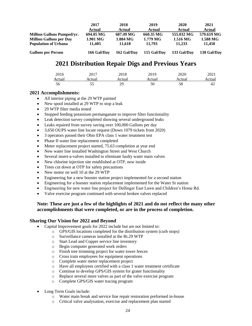|                                   | 2017        | 2018        | 2019        | 2020        | 2021        |
|-----------------------------------|-------------|-------------|-------------|-------------|-------------|
|                                   | Actual      | Actual      | Actual      | Actual      | Actual      |
| <b>Million Gallons Pumped/vr.</b> | 694.05 MG   | 687.49 MG   | 660.35 MG   | 555.032 MG  | 579.619 MG  |
| <b>Million Gallons per Day</b>    | 1.901 MG    | 1.884 MG    | $1.779$ MG  | 1.516 MG    | 1.588 MG    |
| <b>Population of Urbana</b>       | 11.405      | 11.618      | 11.793      | 11.233      | 11.450      |
| <b>Gallons per Person</b>         | 166 Gal/Dav | 162 Gal/Day | 115 Gal/Day | 133 Gal/Day | 138 Gal/Day |

### **2021 Distribution Repair Digs and Previous Years**

| 2016   | 2017   | 2018   | 201 Q<br>2012 | 2020   | 2021   |
|--------|--------|--------|---------------|--------|--------|
| Actual | Actual | Actual | Actual        | Actual | Actual |
| ჂႩ     | ັ      | 29     | 50            | 58     | 42     |

### **2021 Accomplishments:**

- All interior piping at the 29 WTP painted
- New spool installed at 29 WTP to stop a leak
- 29 WTP filter media tested
- Stopped feeding potassium permanganate to improve filter functionality
- Leak detection survey completed showing several underground leaks
- Leaks repaired from survey saving over 100,000 Gallons per day
- 3,650 OUPS water line locate request (Down 1079 tickets from 2020)
- 3 operators passed their Ohio EPA class 1 water treatment test
- Phase II water line replacement completed
- Meter replacement project started, 75.63 completion at year end
- New water line installed Washington Street and West Church
- Several insert-a-valves installed to eliminate faulty water main valves
- New chlorine injection site established at OTP, now inside
- Trees cut down at OTP for safety precautions
- New motor on well 10 at the 29 WTP
- Engineering foe a new booster station project implemented for a second station
- Engineering for a booster station replacement implemented for the Water St station
- Engineering for new water line project for Dellinger East Lawn and Children's Home Rd.
- Valve exercise program continued with several broken valves replaced

### **Note: These are just a few of the highlights of 2021 and do not reflect the many other accomplishments that were completed, or are in the process of completion.**

### **Sharing Our Vision for 2022 and Beyond**

- Capital Improvement goals for 2022 include but are not limited to:
	- o GPS/GIS locations completed for the distribution system (curb stops)
	- o Surveillance cameras installed at the Rt.29 WTP
	- o Start Lead and Copper service line inventory
	- o Begin computer generated work orders
	- o Finish tree trimming project for water tower fences
	- o Cross train employees for equipment operations
	- o Complete water meter replacement project
	- o Have all employees certified with a class 1 water treatment certificate
	- o Continue to develop GPS/GIS system for grater functionality
	- o Replace several more valves as part of the valve exercise program
	- o Complete GPS/GIS water tracing program
- Long Term Goals include:
	- o Water main break and service line repair restoration preformed in-house
	- o Critical valve analyzation, exercise and replacement plan started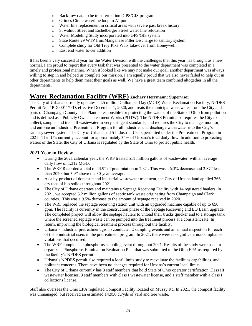- o Backflow data to be transferred into GPS/GIS program
- o Grimes Circle waterline loop to Airport
- o Water line replacement in critical areas with severe past break history
- o S. walnut Street and Eichelberger Street water line relocation
- o Water Modeling Study incorporated into GPS/GIS system
- o State Route 29 WTP Iron/Manganese Filter Discharge to sanitary system
- o Complete study for Old Troy Pike WTP take-over from Honeywell
- o East end water tower addition

It has been a very successful year for the Water Division with the challenges that this year has brought as a new normal. I am proud to report that every task that was presented to the water department was completed in a timely and professional manner. When it looked like we may not make our goal, another department was always willing to step in and helped us complete our mission. I am equally proud that we also never failed to help out in other departments to help them meet their goals as well. We have a great team combined altogether in all the departments.

### **Water Reclamation Facility (WRF) Zachary Herrmann: Supervisor**

The City of Urbana currently operates a 4.5 million Gallon per Day (MGD) Water Reclamation Facility, NPDES Permit No. 1PD00011\*PD, effective December 1, 2020, and treats the municipal wastewater from the City and parts of Champaign County. The Plant is responsible for protecting the waters of the State of Ohio from pollution and is defined as a Publicly Owned Treatment Works (POTW). The NPDES Permit also requires the City to collect, sample, and treat all wastewater to very stringent standards, and requires the City to manage, monitor, and enforce an Industrial Pretreatment Program for all industries that discharge wastewater into the City's sanitary sewer system. The City of Urbana had 5 Industrial Users permitted under the Pretreatment Program in 2021. The IU's currently account for approximately 35% of Urbana's total daily flow. In addition to protecting waters of the State, the City of Urbana is regulated by the State of Ohio to protect public health.

### **2021 Year in Review**

- During the 2021 calendar year, the WRF treated 511 million gallons of wastewater, with an average daily flow of 1.312 MGD.
- The WRF Recorded a total of 43.9" of precipitation in 2021. This was a 6.3% decrease and 2.87" less than 2020, but 3.9" above the 30-year average.
- As a by-product of domestic and industrial wastewater treatment, the City of Urbana land applied 366 dry tons of bio-solids throughout 2021.
- The City of Urbana operates and maintains a Septage Receiving Facility with 14 registered haulers. In 2021, we accepted 5.2 million gallons of septic tank waste originating from Champaign and Clark counties. This was a 9.5% decrease to the amount of septage received in 2020.
- The WRF replaced the septage receiving station unit with an upgraded machine capable of up to 650 gpm. The facility is currently in the construction phase of the Septage Receiving and EQ Basin upgrade. The completed project will allow the septage haulers to unload their trucks quicker and to a storage tank where the screened septage waste can be pumped into the treatment process at a consistent rate. In return, improving the biological treatment process throughout the facility.
- Urbana's industrial pretreatment group conducted 2 sampling events and an annual inspection for each of the 5 industrial users in the pretreatment program. In 2021, there were no significant noncompliance violations that occurred.
- The WRF completed a phosphorus sampling event throughout 2021. Results of the study were used to organize a Phosphorus Elimination Evaluation Plan that was submitted to the Ohio EPA as required by the facility's NPDES permit.
- Urbana's NPDES permit also required a local limits study to reevaluate the facilities capabilities, and pollutant concerns. There have been no changes required for Urbana's current local limits.
- The City of Urbana currently has 3 staff members that hold State of Ohio operator certification Class III wastewater licenses, 3 staff members with class I wastewater license, and 1 staff member with a class I collections license.

Staff also oversees the Ohio EPA regulated Compost Facility located on Muzzy Rd. In 2021, the compost facility was unmanaged, but received an estimated 14,950 cu/yds of yard and tree waste.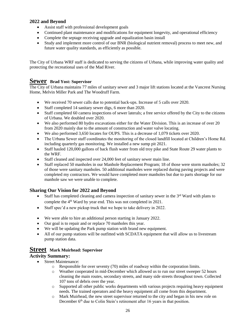### **2022 and Beyond**

- Assist staff with professional development goals
- Continued plant maintenance and modifications for equipment longevity, and operational efficiency
- Complete the septage receiving upgrade and equalization basin install
- Study and implement more control of our BNR (biological nutrient removal) process to meet new, and future water quality standards, as efficiently as possible.

The City of Urbana WRF staff is dedicated to serving the citizens of Urbana, while improving water quality and protecting the recreational uses of the Mad River.

### **Sewer Brad Yost: Supervisor**

The City of Urbana maintains 77 miles of sanitary sewer and 3 major lift stations located at the Vancrest Nursing Home, Melvin Miller Park and The Woodruff Farm.

- We received 70 sewer calls due to potential back-ups. Increase of 5 calls over 2020.
- Staff completed 14 sanitary sewer digs, 6 more than 2020.
- Staff completed 60 camera inspections of sewer laterals; a free service offered by the City to the citizens of Urbana. We doubled over 2020.
- We also performed 80 hydro excavations either for the Water Division. This is an increase of over 20 from 2020 mainly due to the amount of construction and water valve locating.
- We also performed 3,650 locates for OUPS. This is a decrease of 1,079 tickets over 2020.
- The Urbana Sewer staff coordinates the monitoring of the closed landfill located at Children's Home Rd. including quarterly gas monitoring. We installed a new sump pit 2021.
- Staff hauled 120,000 gallons of back flush water from old troy pike and State Route 29 water plants to the WRF.
- Staff cleaned and inspected over 24,000 feet of sanitary sewer main line.
- Staff replaced 50 manholes in our Manhole Replacement Program; 18 of those were storm manholes; 32 of those were sanitary manholes. 50 additional manholes were replaced during paving projects and were completed my contractors. We would have completed more manholes but due to parts shortage for our manhole saw we were unable to complete.

### **Sharing Our Vision for 2022 and Beyond**

- Staff has completed cleaning and camera inspection of sanitary sewer in the  $3<sup>rd</sup>$  Ward with plans to complete the 4<sup>th</sup> Ward by year end. This was not completed in 2021.
- Staff spec'd a new pickup truck that we hope to take delivery in 2022.
- We were able to hire an additional person starting in January 2022.
- Our goal is to repair and or replace 70 manholes this year.
- We will be updating the Park pump station with brand new equipment.
- All of our pump stations will be outfitted with SCDATA equipment that will allow us to livestream pump station data.

### **Street Mark Muirhead: Supervisor**

### **Activity Summary:**

- Street Maintenance:
	- $\circ$  Responsible for over seventy (70) miles of roadway within the corporation limits.
	- o Weather cooperated in mid-December which allowed us to run our street sweeper 52 hours cleaning the main routes, secondary streets, and many side streets throughout town. Collected 107 tons of debris over the year.
	- $\circ$  Supported all other public works departments with various projects requiring heavy equipment needs. The trained operators and the heavy equipment all come from this department.
	- o Mark Muirhead, the new street supervisor returned to the city and began in his new role on December 6<sup>th</sup> due to Colin Stein's retirement after 16 years in that position.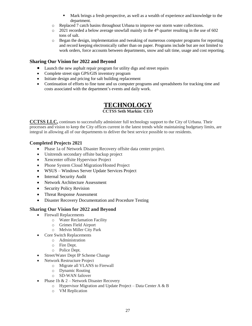- Mark brings a fresh perspective, as well as a wealth of experience and knowledge to the department.
- o Replaced 7 catch basins throughout Urbana to improve our storm water collections.
- $\degree$  2021 recorded a below average snowfall mainly in the 4<sup>th</sup> quarter resulting in the use of 602 tons of salt.
- o Began the design, implementation and tweaking of numerous computer programs for reporting and record keeping electronically rather than on paper. Programs include but are not limited to work orders, force accounts between departments, snow and salt time, usage and cost reporting.

### **Sharing Our Vision for 2022 and Beyond**

- Launch the new asphalt repair program for utility digs and street repairs
- Complete street sign GPS/GIS inventory program
- Initiate design and pricing for salt building replacement
- Continuation of efforts to fine tune and us computer programs and spreadsheets for tracking time and costs associated with the department's events and daily work.

### **TECHNOLOGY**

### **CCTSS Seth Markin: CEO**

**CCTSS LLC,** continues to successfully administer full technology support to the City of Urbana. Their processes and vision to keep the City offices current in the latest trends while maintaining budgetary limits, are integral in allowing all of our departments to deliver the best service possible to our residents.

### **Completed Projects 2021**

- Phase 1a of Network Disaster Recovery offsite data center project.
- Unitrends secondary offsite backup project
- Xencenter offsite Hypervisor Project
- Phone System Cloud Migration/Hosted Project
- WSUS Windows Server Update Services Project
- Internal Security Audit
- Network Architecture Assessment
- Security Policy Revision
- Threat Response Assessment
- Disaster Recovery Documentation and Procedure Testing

### **Sharing Our Vision for 2022 and Beyond**

- Firewall Replacements
	- o Water Reclamation Facility
	- o Grimes Field Airport
	- o Melvin Miller City Park
- Core Switch Replacements
	- o Administration
	- o Fire Dept.
	- o Police Dept.
- Street/Water Dept IP Scheme Change
- Network Restructure Project
	- o Migrate all VLANS to Firewall
	- o Dynamic Routing
	- o SD-WAN failover
- Phase 1b  $& 2$  Network Disaster Recovery
	- o Hypervisor Migration and Update Project Data Center A & B
	- o VM Replication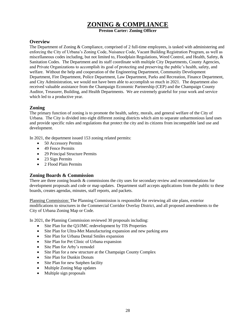### **ZONING & COMPLIANCE**

**Preston Carter: Zoning Officer**

### **Overview**

The Department of Zoning & Compliance, comprised of 2 full-time employees, is tasked with administering and enforcing the City of Urbana's Zoning Code, Nuisance Code, Vacant Building Registration Program, as well as miscellaneous codes including, but not limited to, Floodplain Regulations, Weed Control, and Health, Safety, & Sanitation Codes. The Department and its staff coordinate with multiple City Departments, County Agencies, and Private Organizations to accomplish its goal of protecting and preserving the public's health, safety, and welfare. Without the help and cooperation of the Engineering Department, Community Development Department, Fire Department, Police Department, Law Department, Parks and Recreation, Finance Department, and City Administration, we would not have been able to accomplish so much in 2021. The department also received valuable assistance from the Champaign Economic Partnership (CEP) and the Champaign County Auditor, Treasurer, Building, and Health Departments. We are extremely grateful for your work and service which led to a productive year.

### **Zoning**

The primary function of zoning is to promote the health, safety, morals, and general welfare of the City of Urbana. The City is divided into eight different zoning districts which aim to separate unharmonious land uses and provide specific rules and regulations that protect the city and its citizens from incompatible land use and development.

In 2021, the department issued 153 zoning related permits:

- 50 Accessory Permits
- 49 Fence Permits
- 29 Principal Structure Permits
- 23 Sign Permits
- 2 Flood Plain Permits

### **Zoning Boards & Commission**

There are three zoning boards & commissions the city uses for secondary review and recommendations for development proposals and code or map updates. Department staff accepts applications from the public to these boards, creates agendas, minutes, staff reports, and packets.

Planning Commission: The Planning Commission is responsible for reviewing all site plans, exterior modifications to structures in the Commercial Corridor Overlay District, and all proposed amendments to the City of Urbana Zoning Map or Code.

In 2021, the Planning Commission reviewed 30 proposals including:

- Site Plan for the Q3/JMC redevelopment by TIS Properties
- Site Plan for Ultra-Met Manufacturing expansion and new parking area
- Site Plan for Urbana Dental Smiles expansion
- Site Plan for Pet Clinic of Urbana expansion
- Site Plan for Arby's remodel
- Site Plan for a new structure at the Champaign County Complex
- Site Plan for Dunkin Donuts
- Site Plan for new Sutphen facility
- Multiple Zoning Map updates
- Multiple sign proposals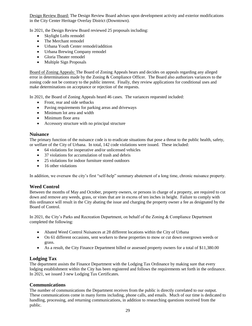Design Review Board: The Design Review Board advises upon development activity and exterior modifications in the City Center Heritage Overlay District (Downtown).

In 2021, the Design Review Board reviewed 25 proposals including:

- Skylight Lofts remodel
- The Merchant remodel
- Urbana Youth Center remodel/addition
- Urbana Brewing Company remodel
- Gloria Theater remodel
- Multiple Sign Proposals

Board of Zoning Appeals: The Board of Zoning Appeals hears and decides on appeals regarding any alleged error in determinations made by the Zoning & Compliance Officer. The Board also authorizes variances to the zoning code not be contrary to the public interest. Finally, they review applications for conditional uses and make determinations on acceptance or rejection of the requests.

In 2021, the Board of Zoning Appeals heard 46 cases. The variances requested included:

- Front, rear and side setbacks
- Paving requirements for parking areas and driveways
- Minimum lot area and width
- Minimum floor area
- Accessory structure with no principal structure

### **Nuisance**

The primary function of the nuisance code is to eradicate situations that pose a threat to the public health, safety, or welfare of the City of Urbana. In total, 142 code violations were issued. These included:

- 64 violations for inoperative and/or unlicensed vehicles
- 37 violations for accumulation of trash and debris
- 25 violations for indoor furniture stored outdoors
- 16 other violations

In addition, we oversaw the city's first "self-help" summary abatement of a long time, chronic nuisance property.

### **Weed Control**

Between the months of May and October, property owners, or persons in charge of a property, are required to cut down and remove any weeds, grass, or vines that are in excess of ten inches in height. Failure to comply with this ordinance will result in the City abating the issue and charging the property owner a fee as designated by the Board of Control.

In 2021, the City's Parks and Recreation Department, on behalf of the Zoning & Compliance Department completed the following:

- Abated Weed Control Nuisances at 28 different locations within the City of Urbana
- On 61 different occasions, sent workers to these properties to mow or cut down overgrown weeds or grass.
- As a result, the City Finance Department billed or assessed property owners for a total of \$11,380.00

### **Lodging Tax**

The department assists the Finance Department with the Lodging Tax Ordinance by making sure that every lodging establishment within the City has been registered and follows the requirements set forth in the ordinance. In 2021, we issued 3 new Lodging Tax Certificates.

### **Communications**

The number of communications the Department receives from the public is directly correlated to our output. These communications come in many forms including, phone calls, and emails. Much of our time is dedicated to handling, processing, and returning communications, in addition to researching questions received from the public.